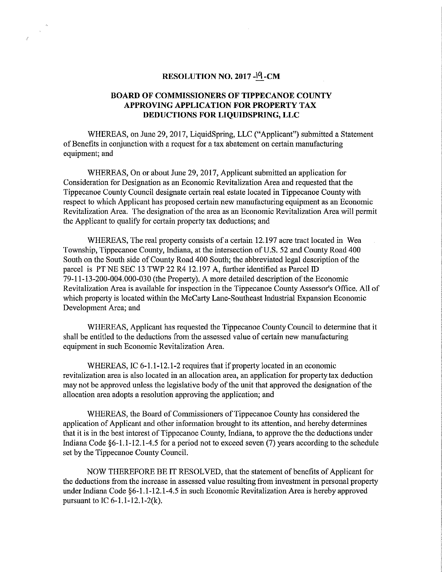## RESOLUTION NO. 2017  $-19$  -CM

## BOARD OF COMMISSIONERS OF TIPPECANOE COUNTY APPROVING APPLICATION FOR PROPERTY TAX DEDUCTIONS FOR LIQUIDSPRING, LLC

WHEREAS, on June 29, 2017, LiquidSpring, LLC ("Applicant") submitted <sup>a</sup> Statement of Benefits in conjunction with a request for a tax abatement on certain manufacturing equipment; and

WHEREAS, On or about June 29, 2017, Applicant submitted an application for Consideration for Designation as an Economic Revitalization Area and requested that the Tippecanoe County Council designate certain real estate located in Tippecanoe County with respect to which Applicant has proposed certain new manufacturing equipment as an Economic Revitalization Area. The designation of the area as an Economic Revitalization Area will permit the Applicant to qualify for certain property tax deductions; and

WHEREAS, The real property consists of a certain 12.197 acre tract located in Wea Township, Tippecanoe County, Indiana, at the intersection of US. 52 and County Road 400 South on the South side of County Road 400 South; the abbreviated legal description of the parcel is PT NE SEC 13 TWP 22 R4 12.197 A, further identified as Parcel ID 79-11-13-200-004.000-030 (the Property). A more detailed description of the Economic Revitalization Area is available for inspection in the Tippecanoe County Assessor's Office. All of which property is located Within the McCarty Lane-Southeast Industrial Expansion Economic Development Area; and

WHEREAS, Applicant has requested the Tippecanoe County Council to determine that it shall be entitled to the deductions from the assessed value of certain new manufacturing equipment in such Economic Revitalization Area.

WHEREAS, IC 6-1.1-12.1-2 requires that if property located in an economic revitalization area is also located in an allocation area, an application for property tax deduction may not be approved unless the legislative body of the unit that approved the designation of the allocation area adopts <sup>a</sup> resolution approving the application; and

WHEREAS, the Board of Commissioners of Tippecanoe County has considered the application of Applicant and other information brought to its attention, and hereby determines that it is in the best interest of Tippecanoe County, Indiana, to approve the the deductions under Indiana Code  $\S6-1.1-12.1-4.5$  for a period not to exceed seven (7) years according to the schedule set by the Tippecanoe County Council.

NOW THEREFORE BE IT RESOLVED, that the statement of benefits of Applicant for the deductions from the increase in assessed value resulting from investment in personal property under Indiana Code §6-1.1-12.1-4.5 in such Economic Revitalization Area is hereby approved pursuant to IC 6-1.1-12.1-2(k).